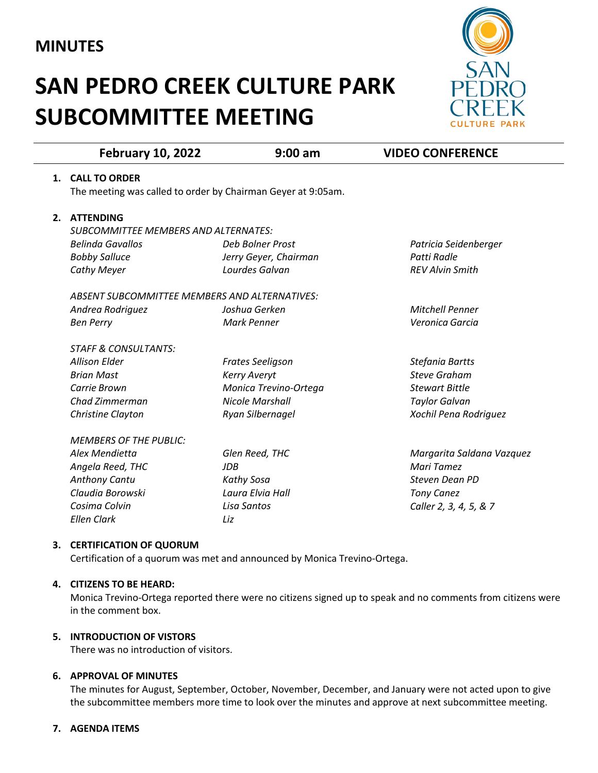## **MINUTES**

# **SAN PEDRO CREEK CULTURE PARK SUBCOMMITTEE MEETING**



|    | <b>February 10, 2022</b>                                     | $9:00$ am               | <b>VIDEO CONFERENCE</b>   |
|----|--------------------------------------------------------------|-------------------------|---------------------------|
| 1. | <b>CALL TO ORDER</b>                                         |                         |                           |
|    | The meeting was called to order by Chairman Geyer at 9:05am. |                         |                           |
| 2. | <b>ATTENDING</b>                                             |                         |                           |
|    | <b>SUBCOMMITTEE MEMBERS AND ALTERNATES:</b>                  |                         |                           |
|    | <b>Belinda Gavallos</b>                                      | Deb Bolner Prost        | Patricia Seidenberger     |
|    | <b>Bobby Salluce</b>                                         | Jerry Geyer, Chairman   | Patti Radle               |
|    | <b>Cathy Meyer</b>                                           | Lourdes Galvan          | <b>REV Alvin Smith</b>    |
|    | ABSENT SUBCOMMITTEE MEMBERS AND ALTERNATIVES:                |                         |                           |
|    | Andrea Rodriguez                                             | Joshua Gerken           | <b>Mitchell Penner</b>    |
|    | <b>Ben Perry</b>                                             | Mark Penner             | Veronica Garcia           |
|    | <b>STAFF &amp; CONSULTANTS:</b>                              |                         |                           |
|    | <b>Allison Elder</b>                                         | <b>Frates Seeligson</b> | Stefania Bartts           |
|    | <b>Brian Mast</b>                                            | <b>Kerry Averyt</b>     | <b>Steve Graham</b>       |
|    | Carrie Brown                                                 | Monica Trevino-Ortega   | <b>Stewart Bittle</b>     |
|    | Chad Zimmerman                                               | <b>Nicole Marshall</b>  | <b>Taylor Galvan</b>      |
|    | Christine Clayton                                            | Ryan Silbernagel        | Xochil Pena Rodriguez     |
|    | <b>MEMBERS OF THE PUBLIC:</b>                                |                         |                           |
|    | Alex Mendietta                                               | Glen Reed, THC          | Margarita Saldana Vazquez |
|    | Angela Reed, THC                                             | <b>JDB</b>              | Mari Tamez                |
|    | Anthony Cantu                                                | Kathy Sosa              | <b>Steven Dean PD</b>     |
|    | Claudia Borowski                                             | Laura Elvia Hall        | <b>Tony Canez</b>         |
|    | Cosima Colvin                                                | Lisa Santos             | Caller 2, 3, 4, 5, & 7    |
|    | <b>Ellen Clark</b>                                           | Liz                     |                           |
|    |                                                              |                         |                           |

### **3. CERTIFICATION OF QUORUM**

Certification of a quorum was met and announced by Monica Trevino-Ortega.

#### **4. CITIZENS TO BE HEARD:**

Monica Trevino-Ortega reported there were no citizens signed up to speak and no comments from citizens were in the comment box.

#### **5. INTRODUCTION OF VISTORS**

There was no introduction of visitors.

#### **6. APPROVAL OF MINUTES**

The minutes for August, September, October, November, December, and January were not acted upon to give the subcommittee members more time to look over the minutes and approve at next subcommittee meeting.

#### **7. AGENDA ITEMS**